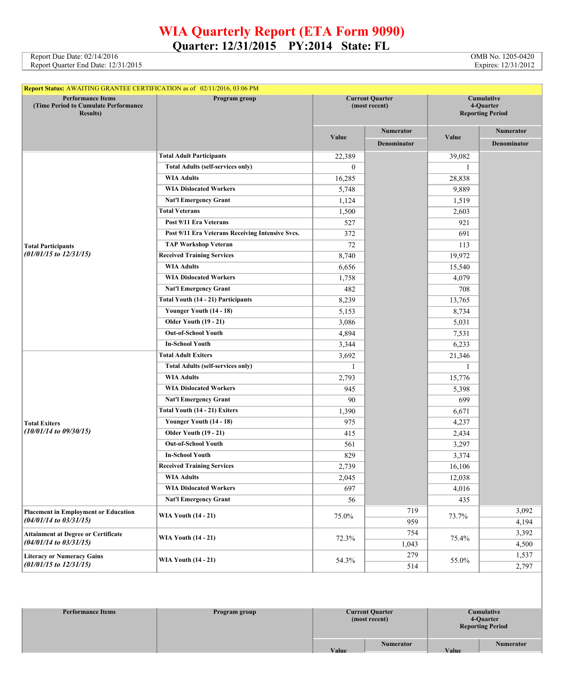## **WIA Quarterly Report (ETA Form 9090) Quarter: 12/31/2015 PY:2014 State: FL**

Report Due Date: 02/14/2016 COMB No. 1205-0420<br>Report Quarter End Date: 12/31/2015 Compared to the USA of the Same of the Same of the Same of the Same of the Same of the Same of the Same of the Same of the Same of the Same Report Quarter End Date: 12/31/2015

| Report Status: AWAITING GRANTEE CERTIFICATION as of 02/11/2016, 03:06 PM              |                                                  |                                         |                    |                                                    |                    |  |
|---------------------------------------------------------------------------------------|--------------------------------------------------|-----------------------------------------|--------------------|----------------------------------------------------|--------------------|--|
| <b>Performance Items</b><br>(Time Period to Cumulate Performance)<br><b>Results</b> ) | Program group                                    | <b>Current Quarter</b><br>(most recent) |                    | Cumulative<br>4-Quarter<br><b>Reporting Period</b> |                    |  |
|                                                                                       |                                                  |                                         | Numerator          |                                                    | <b>Numerator</b>   |  |
|                                                                                       |                                                  | Value                                   | <b>Denominator</b> | Value                                              | <b>Denominator</b> |  |
|                                                                                       | <b>Total Adult Participants</b>                  | 22,389                                  |                    | 39,082                                             |                    |  |
|                                                                                       | <b>Total Adults (self-services only)</b>         | $\overline{0}$                          |                    | $\mathbf{1}$                                       |                    |  |
|                                                                                       | <b>WIA Adults</b>                                | 16,285                                  |                    | 28,838                                             |                    |  |
|                                                                                       | <b>WIA Dislocated Workers</b>                    | 5,748                                   |                    | 9,889                                              |                    |  |
|                                                                                       | <b>Nat'l Emergency Grant</b>                     | 1,124                                   |                    | 1,519                                              |                    |  |
|                                                                                       | <b>Total Veterans</b>                            | 1,500                                   |                    | 2,603                                              |                    |  |
|                                                                                       | Post 9/11 Era Veterans                           | 527                                     |                    | 921                                                |                    |  |
|                                                                                       | Post 9/11 Era Veterans Receiving Intensive Svcs. | 372                                     |                    | 691                                                |                    |  |
| <b>Total Participants</b>                                                             | <b>TAP Workshop Veteran</b>                      | 72                                      |                    | 113                                                |                    |  |
| $(01/01/15$ to $12/31/15)$                                                            | <b>Received Training Services</b>                | 8,740                                   |                    | 19,972                                             |                    |  |
|                                                                                       | <b>WIA Adults</b>                                | 6,656                                   |                    | 15,540                                             |                    |  |
|                                                                                       | <b>WIA Dislocated Workers</b>                    | 1,758                                   |                    | 4,079                                              |                    |  |
|                                                                                       | <b>Nat'l Emergency Grant</b>                     | 482                                     |                    | 708                                                |                    |  |
|                                                                                       | Total Youth (14 - 21) Participants               | 8,239                                   |                    | 13,765                                             |                    |  |
|                                                                                       | Younger Youth (14 - 18)                          | 5,153                                   |                    | 8,734                                              |                    |  |
|                                                                                       | <b>Older Youth (19 - 21)</b>                     | 3,086                                   |                    | 5,031                                              |                    |  |
|                                                                                       | <b>Out-of-School Youth</b>                       | 4,894                                   |                    | 7,531                                              |                    |  |
|                                                                                       | <b>In-School Youth</b>                           | 3,344                                   |                    | 6,233                                              |                    |  |
|                                                                                       | <b>Total Adult Exiters</b>                       | 3,692                                   |                    | 21,346                                             |                    |  |
|                                                                                       | <b>Total Adults (self-services only)</b>         | -1                                      |                    | 1                                                  |                    |  |
|                                                                                       | <b>WIA Adults</b>                                | 2,793                                   |                    | 15,776                                             |                    |  |
|                                                                                       | <b>WIA Dislocated Workers</b>                    | 945                                     |                    | 5,398                                              |                    |  |
|                                                                                       | <b>Nat'l Emergency Grant</b>                     | 90                                      |                    | 699                                                |                    |  |
|                                                                                       | Total Youth (14 - 21) Exiters                    | 1,390                                   |                    | 6,671                                              |                    |  |
| <b>Total Exiters</b>                                                                  | Younger Youth (14 - 18)                          | 975                                     |                    | 4,237                                              |                    |  |
| $(10/01/14$ to $09/30/15)$                                                            | <b>Older Youth (19 - 21)</b>                     | 415                                     |                    | 2,434                                              |                    |  |
|                                                                                       | <b>Out-of-School Youth</b>                       | 561                                     |                    | 3,297                                              |                    |  |
|                                                                                       | <b>In-School Youth</b>                           | 829                                     |                    | 3,374                                              |                    |  |
|                                                                                       | <b>Received Training Services</b>                | 2,739                                   |                    | 16,106                                             |                    |  |
|                                                                                       | <b>WIA Adults</b>                                | 2,045                                   |                    | 12,038                                             |                    |  |
|                                                                                       | <b>WIA Dislocated Workers</b>                    | 697                                     |                    | 4,016                                              |                    |  |
|                                                                                       | <b>Nat'l Emergency Grant</b>                     | 56                                      |                    | 435                                                |                    |  |
| <b>Placement in Employment or Education</b>                                           | <b>WIA Youth (14 - 21)</b>                       |                                         | 719                |                                                    | 3,092              |  |
| $(04/01/14$ to $03/31/15)$                                                            |                                                  | 75.0%                                   | 959                | 73.7%                                              | 4,194              |  |
| <b>Attainment at Degree or Certificate</b>                                            |                                                  |                                         | 754                |                                                    | 3,392              |  |
| $(04/01/14$ to $03/31/15)$                                                            | <b>WIA Youth (14 - 21)</b>                       | 72.3%                                   | 1,043              | 75.4%                                              | 4,500              |  |
| <b>Literacy or Numeracy Gains</b>                                                     | <b>WIA Youth (14 - 21)</b>                       |                                         | 279                |                                                    | 1,537              |  |
| $(01/01/15$ to $12/31/15)$                                                            |                                                  | 54.3%                                   | 514                | 55.0%                                              | 2,797              |  |

| <b>Performance Items</b> | Program group | <b>Current Quarter</b><br>(most recent) | Cumulative<br>4-Quarter<br><b>Reporting Period</b> |                  |
|--------------------------|---------------|-----------------------------------------|----------------------------------------------------|------------------|
|                          |               | <b>Numerator</b><br><b>Value</b>        | <b>Value</b>                                       | <b>Numerator</b> |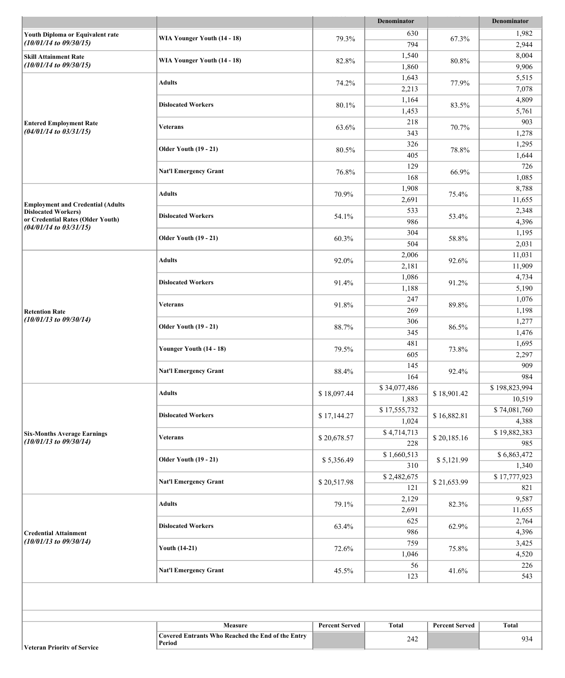| 630<br>1,982<br>Youth Diploma or Equivalent rate<br>WIA Younger Youth (14 - 18)<br>79.3%<br>67.3%<br>$(10/01/14$ to $09/30/15)$<br>794<br>2,944<br>1,540<br>8,004<br><b>Skill Attainment Rate</b><br>WIA Younger Youth (14 - 18)<br>82.8%<br>80.8%<br>$(10/01/14$ to $09/30/15)$<br>1,860<br>9,906<br>1,643<br>5,515<br><b>Adults</b><br>74.2%<br>77.9%<br>2,213<br>7,078<br>1,164<br>4,809<br><b>Dislocated Workers</b><br>80.1%<br>83.5%<br>1,453<br>5,761<br>218<br>903<br><b>Entered Employment Rate</b><br><b>Veterans</b><br>63.6%<br>70.7%<br>$(04/01/14$ to $03/31/15)$<br>343<br>1,278<br>326<br>1,295<br><b>Older Youth (19 - 21)</b><br>80.5%<br>78.8%<br>405<br>1,644<br>129<br>726<br><b>Nat'l Emergency Grant</b><br>76.8%<br>66.9%<br>168<br>1,085<br>1,908<br>8,788<br><b>Adults</b><br>70.9%<br>75.4%<br>2,691<br>11,655<br><b>Employment and Credential (Adults</b><br>533<br>2,348<br><b>Dislocated Workers)</b><br><b>Dislocated Workers</b><br>54.1%<br>53.4%<br>or Credential Rates (Older Youth)<br>986<br>4,396<br>$(04/01/14$ to $03/31/15)$<br>304<br>1,195<br><b>Older Youth (19 - 21)</b><br>60.3%<br>58.8%<br>504<br>2,031<br>2,006<br>11,031<br><b>Adults</b><br>92.0%<br>92.6%<br>2,181<br>11,909<br>1,086<br>4,734<br><b>Dislocated Workers</b><br>91.4%<br>91.2%<br>1,188<br>5,190<br>247<br>1,076<br>Veterans<br>91.8%<br>89.8%<br>269<br>1,198<br><b>Retention Rate</b><br>$(10/01/13$ to $09/30/14)$<br>306<br>1,277<br><b>Older Youth (19 - 21)</b><br>88.7%<br>86.5%<br>345<br>1,476<br>481<br>1,695<br>Younger Youth (14 - 18)<br>79.5%<br>73.8%<br>605<br>2,297<br>145<br>909<br><b>Nat'l Emergency Grant</b><br>88.4%<br>92.4%<br>164<br>984<br>\$34,077,486<br>\$198,823,994<br><b>Adults</b><br>\$18,097.44<br>\$18,901.42<br>1,883<br>10,519<br>\$17,555,732<br>\$74,081,760<br><b>Dislocated Workers</b><br>\$17,144.27<br>\$16,882.81<br>1,024<br>4,388<br>\$4,714,713<br>\$19,882,383<br><b>Six-Months Average Earnings</b><br>\$20,678.57<br>\$20,185.16<br><b>Veterans</b><br>$(10/01/13$ to $09/30/14)$<br>228<br>985<br>\$6,863,472<br>\$1,660,513<br><b>Older Youth (19 - 21)</b><br>\$5,356.49<br>\$5,121.99<br>310<br>1,340<br>\$17,777,923<br>\$2,482,675<br><b>Nat'l Emergency Grant</b><br>\$20,517.98<br>\$21,653.99<br>121<br>821<br>9,587<br>2,129<br><b>Adults</b><br>79.1%<br>82.3%<br>2,691<br>11,655<br>625<br>2,764<br><b>Dislocated Workers</b><br>63.4%<br>62.9%<br>986<br>4,396<br><b>Credential Attainment</b><br>$(10/01/13$ to $09/30/14)$<br>759<br>3,425<br><b>Youth (14-21)</b><br>72.6%<br>75.8%<br>1,046<br>4,520<br>56<br>226<br><b>Nat'l Emergency Grant</b><br>45.5%<br>41.6%<br>123<br>543<br>Measure<br><b>Percent Served</b><br><b>Total</b><br><b>Percent Served</b><br><b>Total</b><br><b>Covered Entrants Who Reached the End of the Entry</b><br>242<br>934<br>Period |  |  |  | Denominator |  | Denominator |
|-------------------------------------------------------------------------------------------------------------------------------------------------------------------------------------------------------------------------------------------------------------------------------------------------------------------------------------------------------------------------------------------------------------------------------------------------------------------------------------------------------------------------------------------------------------------------------------------------------------------------------------------------------------------------------------------------------------------------------------------------------------------------------------------------------------------------------------------------------------------------------------------------------------------------------------------------------------------------------------------------------------------------------------------------------------------------------------------------------------------------------------------------------------------------------------------------------------------------------------------------------------------------------------------------------------------------------------------------------------------------------------------------------------------------------------------------------------------------------------------------------------------------------------------------------------------------------------------------------------------------------------------------------------------------------------------------------------------------------------------------------------------------------------------------------------------------------------------------------------------------------------------------------------------------------------------------------------------------------------------------------------------------------------------------------------------------------------------------------------------------------------------------------------------------------------------------------------------------------------------------------------------------------------------------------------------------------------------------------------------------------------------------------------------------------------------------------------------------------------------------------------------------------------------------------------------------------------------------------------------------------------------------------------------------------------------------------------------------------------------------------------------------------------------------------------------------------------------------------------|--|--|--|-------------|--|-------------|
|                                                                                                                                                                                                                                                                                                                                                                                                                                                                                                                                                                                                                                                                                                                                                                                                                                                                                                                                                                                                                                                                                                                                                                                                                                                                                                                                                                                                                                                                                                                                                                                                                                                                                                                                                                                                                                                                                                                                                                                                                                                                                                                                                                                                                                                                                                                                                                                                                                                                                                                                                                                                                                                                                                                                                                                                                                                             |  |  |  |             |  |             |
|                                                                                                                                                                                                                                                                                                                                                                                                                                                                                                                                                                                                                                                                                                                                                                                                                                                                                                                                                                                                                                                                                                                                                                                                                                                                                                                                                                                                                                                                                                                                                                                                                                                                                                                                                                                                                                                                                                                                                                                                                                                                                                                                                                                                                                                                                                                                                                                                                                                                                                                                                                                                                                                                                                                                                                                                                                                             |  |  |  |             |  |             |
|                                                                                                                                                                                                                                                                                                                                                                                                                                                                                                                                                                                                                                                                                                                                                                                                                                                                                                                                                                                                                                                                                                                                                                                                                                                                                                                                                                                                                                                                                                                                                                                                                                                                                                                                                                                                                                                                                                                                                                                                                                                                                                                                                                                                                                                                                                                                                                                                                                                                                                                                                                                                                                                                                                                                                                                                                                                             |  |  |  |             |  |             |
|                                                                                                                                                                                                                                                                                                                                                                                                                                                                                                                                                                                                                                                                                                                                                                                                                                                                                                                                                                                                                                                                                                                                                                                                                                                                                                                                                                                                                                                                                                                                                                                                                                                                                                                                                                                                                                                                                                                                                                                                                                                                                                                                                                                                                                                                                                                                                                                                                                                                                                                                                                                                                                                                                                                                                                                                                                                             |  |  |  |             |  |             |
|                                                                                                                                                                                                                                                                                                                                                                                                                                                                                                                                                                                                                                                                                                                                                                                                                                                                                                                                                                                                                                                                                                                                                                                                                                                                                                                                                                                                                                                                                                                                                                                                                                                                                                                                                                                                                                                                                                                                                                                                                                                                                                                                                                                                                                                                                                                                                                                                                                                                                                                                                                                                                                                                                                                                                                                                                                                             |  |  |  |             |  |             |
|                                                                                                                                                                                                                                                                                                                                                                                                                                                                                                                                                                                                                                                                                                                                                                                                                                                                                                                                                                                                                                                                                                                                                                                                                                                                                                                                                                                                                                                                                                                                                                                                                                                                                                                                                                                                                                                                                                                                                                                                                                                                                                                                                                                                                                                                                                                                                                                                                                                                                                                                                                                                                                                                                                                                                                                                                                                             |  |  |  |             |  |             |
|                                                                                                                                                                                                                                                                                                                                                                                                                                                                                                                                                                                                                                                                                                                                                                                                                                                                                                                                                                                                                                                                                                                                                                                                                                                                                                                                                                                                                                                                                                                                                                                                                                                                                                                                                                                                                                                                                                                                                                                                                                                                                                                                                                                                                                                                                                                                                                                                                                                                                                                                                                                                                                                                                                                                                                                                                                                             |  |  |  |             |  |             |
|                                                                                                                                                                                                                                                                                                                                                                                                                                                                                                                                                                                                                                                                                                                                                                                                                                                                                                                                                                                                                                                                                                                                                                                                                                                                                                                                                                                                                                                                                                                                                                                                                                                                                                                                                                                                                                                                                                                                                                                                                                                                                                                                                                                                                                                                                                                                                                                                                                                                                                                                                                                                                                                                                                                                                                                                                                                             |  |  |  |             |  |             |
|                                                                                                                                                                                                                                                                                                                                                                                                                                                                                                                                                                                                                                                                                                                                                                                                                                                                                                                                                                                                                                                                                                                                                                                                                                                                                                                                                                                                                                                                                                                                                                                                                                                                                                                                                                                                                                                                                                                                                                                                                                                                                                                                                                                                                                                                                                                                                                                                                                                                                                                                                                                                                                                                                                                                                                                                                                                             |  |  |  |             |  |             |
|                                                                                                                                                                                                                                                                                                                                                                                                                                                                                                                                                                                                                                                                                                                                                                                                                                                                                                                                                                                                                                                                                                                                                                                                                                                                                                                                                                                                                                                                                                                                                                                                                                                                                                                                                                                                                                                                                                                                                                                                                                                                                                                                                                                                                                                                                                                                                                                                                                                                                                                                                                                                                                                                                                                                                                                                                                                             |  |  |  |             |  |             |
|                                                                                                                                                                                                                                                                                                                                                                                                                                                                                                                                                                                                                                                                                                                                                                                                                                                                                                                                                                                                                                                                                                                                                                                                                                                                                                                                                                                                                                                                                                                                                                                                                                                                                                                                                                                                                                                                                                                                                                                                                                                                                                                                                                                                                                                                                                                                                                                                                                                                                                                                                                                                                                                                                                                                                                                                                                                             |  |  |  |             |  |             |
|                                                                                                                                                                                                                                                                                                                                                                                                                                                                                                                                                                                                                                                                                                                                                                                                                                                                                                                                                                                                                                                                                                                                                                                                                                                                                                                                                                                                                                                                                                                                                                                                                                                                                                                                                                                                                                                                                                                                                                                                                                                                                                                                                                                                                                                                                                                                                                                                                                                                                                                                                                                                                                                                                                                                                                                                                                                             |  |  |  |             |  |             |
|                                                                                                                                                                                                                                                                                                                                                                                                                                                                                                                                                                                                                                                                                                                                                                                                                                                                                                                                                                                                                                                                                                                                                                                                                                                                                                                                                                                                                                                                                                                                                                                                                                                                                                                                                                                                                                                                                                                                                                                                                                                                                                                                                                                                                                                                                                                                                                                                                                                                                                                                                                                                                                                                                                                                                                                                                                                             |  |  |  |             |  |             |
|                                                                                                                                                                                                                                                                                                                                                                                                                                                                                                                                                                                                                                                                                                                                                                                                                                                                                                                                                                                                                                                                                                                                                                                                                                                                                                                                                                                                                                                                                                                                                                                                                                                                                                                                                                                                                                                                                                                                                                                                                                                                                                                                                                                                                                                                                                                                                                                                                                                                                                                                                                                                                                                                                                                                                                                                                                                             |  |  |  |             |  |             |
|                                                                                                                                                                                                                                                                                                                                                                                                                                                                                                                                                                                                                                                                                                                                                                                                                                                                                                                                                                                                                                                                                                                                                                                                                                                                                                                                                                                                                                                                                                                                                                                                                                                                                                                                                                                                                                                                                                                                                                                                                                                                                                                                                                                                                                                                                                                                                                                                                                                                                                                                                                                                                                                                                                                                                                                                                                                             |  |  |  |             |  |             |
|                                                                                                                                                                                                                                                                                                                                                                                                                                                                                                                                                                                                                                                                                                                                                                                                                                                                                                                                                                                                                                                                                                                                                                                                                                                                                                                                                                                                                                                                                                                                                                                                                                                                                                                                                                                                                                                                                                                                                                                                                                                                                                                                                                                                                                                                                                                                                                                                                                                                                                                                                                                                                                                                                                                                                                                                                                                             |  |  |  |             |  |             |
|                                                                                                                                                                                                                                                                                                                                                                                                                                                                                                                                                                                                                                                                                                                                                                                                                                                                                                                                                                                                                                                                                                                                                                                                                                                                                                                                                                                                                                                                                                                                                                                                                                                                                                                                                                                                                                                                                                                                                                                                                                                                                                                                                                                                                                                                                                                                                                                                                                                                                                                                                                                                                                                                                                                                                                                                                                                             |  |  |  |             |  |             |
|                                                                                                                                                                                                                                                                                                                                                                                                                                                                                                                                                                                                                                                                                                                                                                                                                                                                                                                                                                                                                                                                                                                                                                                                                                                                                                                                                                                                                                                                                                                                                                                                                                                                                                                                                                                                                                                                                                                                                                                                                                                                                                                                                                                                                                                                                                                                                                                                                                                                                                                                                                                                                                                                                                                                                                                                                                                             |  |  |  |             |  |             |
|                                                                                                                                                                                                                                                                                                                                                                                                                                                                                                                                                                                                                                                                                                                                                                                                                                                                                                                                                                                                                                                                                                                                                                                                                                                                                                                                                                                                                                                                                                                                                                                                                                                                                                                                                                                                                                                                                                                                                                                                                                                                                                                                                                                                                                                                                                                                                                                                                                                                                                                                                                                                                                                                                                                                                                                                                                                             |  |  |  |             |  |             |
|                                                                                                                                                                                                                                                                                                                                                                                                                                                                                                                                                                                                                                                                                                                                                                                                                                                                                                                                                                                                                                                                                                                                                                                                                                                                                                                                                                                                                                                                                                                                                                                                                                                                                                                                                                                                                                                                                                                                                                                                                                                                                                                                                                                                                                                                                                                                                                                                                                                                                                                                                                                                                                                                                                                                                                                                                                                             |  |  |  |             |  |             |
|                                                                                                                                                                                                                                                                                                                                                                                                                                                                                                                                                                                                                                                                                                                                                                                                                                                                                                                                                                                                                                                                                                                                                                                                                                                                                                                                                                                                                                                                                                                                                                                                                                                                                                                                                                                                                                                                                                                                                                                                                                                                                                                                                                                                                                                                                                                                                                                                                                                                                                                                                                                                                                                                                                                                                                                                                                                             |  |  |  |             |  |             |
|                                                                                                                                                                                                                                                                                                                                                                                                                                                                                                                                                                                                                                                                                                                                                                                                                                                                                                                                                                                                                                                                                                                                                                                                                                                                                                                                                                                                                                                                                                                                                                                                                                                                                                                                                                                                                                                                                                                                                                                                                                                                                                                                                                                                                                                                                                                                                                                                                                                                                                                                                                                                                                                                                                                                                                                                                                                             |  |  |  |             |  |             |
|                                                                                                                                                                                                                                                                                                                                                                                                                                                                                                                                                                                                                                                                                                                                                                                                                                                                                                                                                                                                                                                                                                                                                                                                                                                                                                                                                                                                                                                                                                                                                                                                                                                                                                                                                                                                                                                                                                                                                                                                                                                                                                                                                                                                                                                                                                                                                                                                                                                                                                                                                                                                                                                                                                                                                                                                                                                             |  |  |  |             |  |             |
|                                                                                                                                                                                                                                                                                                                                                                                                                                                                                                                                                                                                                                                                                                                                                                                                                                                                                                                                                                                                                                                                                                                                                                                                                                                                                                                                                                                                                                                                                                                                                                                                                                                                                                                                                                                                                                                                                                                                                                                                                                                                                                                                                                                                                                                                                                                                                                                                                                                                                                                                                                                                                                                                                                                                                                                                                                                             |  |  |  |             |  |             |
|                                                                                                                                                                                                                                                                                                                                                                                                                                                                                                                                                                                                                                                                                                                                                                                                                                                                                                                                                                                                                                                                                                                                                                                                                                                                                                                                                                                                                                                                                                                                                                                                                                                                                                                                                                                                                                                                                                                                                                                                                                                                                                                                                                                                                                                                                                                                                                                                                                                                                                                                                                                                                                                                                                                                                                                                                                                             |  |  |  |             |  |             |
|                                                                                                                                                                                                                                                                                                                                                                                                                                                                                                                                                                                                                                                                                                                                                                                                                                                                                                                                                                                                                                                                                                                                                                                                                                                                                                                                                                                                                                                                                                                                                                                                                                                                                                                                                                                                                                                                                                                                                                                                                                                                                                                                                                                                                                                                                                                                                                                                                                                                                                                                                                                                                                                                                                                                                                                                                                                             |  |  |  |             |  |             |
|                                                                                                                                                                                                                                                                                                                                                                                                                                                                                                                                                                                                                                                                                                                                                                                                                                                                                                                                                                                                                                                                                                                                                                                                                                                                                                                                                                                                                                                                                                                                                                                                                                                                                                                                                                                                                                                                                                                                                                                                                                                                                                                                                                                                                                                                                                                                                                                                                                                                                                                                                                                                                                                                                                                                                                                                                                                             |  |  |  |             |  |             |
|                                                                                                                                                                                                                                                                                                                                                                                                                                                                                                                                                                                                                                                                                                                                                                                                                                                                                                                                                                                                                                                                                                                                                                                                                                                                                                                                                                                                                                                                                                                                                                                                                                                                                                                                                                                                                                                                                                                                                                                                                                                                                                                                                                                                                                                                                                                                                                                                                                                                                                                                                                                                                                                                                                                                                                                                                                                             |  |  |  |             |  |             |
|                                                                                                                                                                                                                                                                                                                                                                                                                                                                                                                                                                                                                                                                                                                                                                                                                                                                                                                                                                                                                                                                                                                                                                                                                                                                                                                                                                                                                                                                                                                                                                                                                                                                                                                                                                                                                                                                                                                                                                                                                                                                                                                                                                                                                                                                                                                                                                                                                                                                                                                                                                                                                                                                                                                                                                                                                                                             |  |  |  |             |  |             |
|                                                                                                                                                                                                                                                                                                                                                                                                                                                                                                                                                                                                                                                                                                                                                                                                                                                                                                                                                                                                                                                                                                                                                                                                                                                                                                                                                                                                                                                                                                                                                                                                                                                                                                                                                                                                                                                                                                                                                                                                                                                                                                                                                                                                                                                                                                                                                                                                                                                                                                                                                                                                                                                                                                                                                                                                                                                             |  |  |  |             |  |             |
|                                                                                                                                                                                                                                                                                                                                                                                                                                                                                                                                                                                                                                                                                                                                                                                                                                                                                                                                                                                                                                                                                                                                                                                                                                                                                                                                                                                                                                                                                                                                                                                                                                                                                                                                                                                                                                                                                                                                                                                                                                                                                                                                                                                                                                                                                                                                                                                                                                                                                                                                                                                                                                                                                                                                                                                                                                                             |  |  |  |             |  |             |
|                                                                                                                                                                                                                                                                                                                                                                                                                                                                                                                                                                                                                                                                                                                                                                                                                                                                                                                                                                                                                                                                                                                                                                                                                                                                                                                                                                                                                                                                                                                                                                                                                                                                                                                                                                                                                                                                                                                                                                                                                                                                                                                                                                                                                                                                                                                                                                                                                                                                                                                                                                                                                                                                                                                                                                                                                                                             |  |  |  |             |  |             |
|                                                                                                                                                                                                                                                                                                                                                                                                                                                                                                                                                                                                                                                                                                                                                                                                                                                                                                                                                                                                                                                                                                                                                                                                                                                                                                                                                                                                                                                                                                                                                                                                                                                                                                                                                                                                                                                                                                                                                                                                                                                                                                                                                                                                                                                                                                                                                                                                                                                                                                                                                                                                                                                                                                                                                                                                                                                             |  |  |  |             |  |             |
|                                                                                                                                                                                                                                                                                                                                                                                                                                                                                                                                                                                                                                                                                                                                                                                                                                                                                                                                                                                                                                                                                                                                                                                                                                                                                                                                                                                                                                                                                                                                                                                                                                                                                                                                                                                                                                                                                                                                                                                                                                                                                                                                                                                                                                                                                                                                                                                                                                                                                                                                                                                                                                                                                                                                                                                                                                                             |  |  |  |             |  |             |
|                                                                                                                                                                                                                                                                                                                                                                                                                                                                                                                                                                                                                                                                                                                                                                                                                                                                                                                                                                                                                                                                                                                                                                                                                                                                                                                                                                                                                                                                                                                                                                                                                                                                                                                                                                                                                                                                                                                                                                                                                                                                                                                                                                                                                                                                                                                                                                                                                                                                                                                                                                                                                                                                                                                                                                                                                                                             |  |  |  |             |  |             |
|                                                                                                                                                                                                                                                                                                                                                                                                                                                                                                                                                                                                                                                                                                                                                                                                                                                                                                                                                                                                                                                                                                                                                                                                                                                                                                                                                                                                                                                                                                                                                                                                                                                                                                                                                                                                                                                                                                                                                                                                                                                                                                                                                                                                                                                                                                                                                                                                                                                                                                                                                                                                                                                                                                                                                                                                                                                             |  |  |  |             |  |             |
|                                                                                                                                                                                                                                                                                                                                                                                                                                                                                                                                                                                                                                                                                                                                                                                                                                                                                                                                                                                                                                                                                                                                                                                                                                                                                                                                                                                                                                                                                                                                                                                                                                                                                                                                                                                                                                                                                                                                                                                                                                                                                                                                                                                                                                                                                                                                                                                                                                                                                                                                                                                                                                                                                                                                                                                                                                                             |  |  |  |             |  |             |
|                                                                                                                                                                                                                                                                                                                                                                                                                                                                                                                                                                                                                                                                                                                                                                                                                                                                                                                                                                                                                                                                                                                                                                                                                                                                                                                                                                                                                                                                                                                                                                                                                                                                                                                                                                                                                                                                                                                                                                                                                                                                                                                                                                                                                                                                                                                                                                                                                                                                                                                                                                                                                                                                                                                                                                                                                                                             |  |  |  |             |  |             |
|                                                                                                                                                                                                                                                                                                                                                                                                                                                                                                                                                                                                                                                                                                                                                                                                                                                                                                                                                                                                                                                                                                                                                                                                                                                                                                                                                                                                                                                                                                                                                                                                                                                                                                                                                                                                                                                                                                                                                                                                                                                                                                                                                                                                                                                                                                                                                                                                                                                                                                                                                                                                                                                                                                                                                                                                                                                             |  |  |  |             |  |             |
|                                                                                                                                                                                                                                                                                                                                                                                                                                                                                                                                                                                                                                                                                                                                                                                                                                                                                                                                                                                                                                                                                                                                                                                                                                                                                                                                                                                                                                                                                                                                                                                                                                                                                                                                                                                                                                                                                                                                                                                                                                                                                                                                                                                                                                                                                                                                                                                                                                                                                                                                                                                                                                                                                                                                                                                                                                                             |  |  |  |             |  |             |
|                                                                                                                                                                                                                                                                                                                                                                                                                                                                                                                                                                                                                                                                                                                                                                                                                                                                                                                                                                                                                                                                                                                                                                                                                                                                                                                                                                                                                                                                                                                                                                                                                                                                                                                                                                                                                                                                                                                                                                                                                                                                                                                                                                                                                                                                                                                                                                                                                                                                                                                                                                                                                                                                                                                                                                                                                                                             |  |  |  |             |  |             |
|                                                                                                                                                                                                                                                                                                                                                                                                                                                                                                                                                                                                                                                                                                                                                                                                                                                                                                                                                                                                                                                                                                                                                                                                                                                                                                                                                                                                                                                                                                                                                                                                                                                                                                                                                                                                                                                                                                                                                                                                                                                                                                                                                                                                                                                                                                                                                                                                                                                                                                                                                                                                                                                                                                                                                                                                                                                             |  |  |  |             |  |             |
|                                                                                                                                                                                                                                                                                                                                                                                                                                                                                                                                                                                                                                                                                                                                                                                                                                                                                                                                                                                                                                                                                                                                                                                                                                                                                                                                                                                                                                                                                                                                                                                                                                                                                                                                                                                                                                                                                                                                                                                                                                                                                                                                                                                                                                                                                                                                                                                                                                                                                                                                                                                                                                                                                                                                                                                                                                                             |  |  |  |             |  |             |
|                                                                                                                                                                                                                                                                                                                                                                                                                                                                                                                                                                                                                                                                                                                                                                                                                                                                                                                                                                                                                                                                                                                                                                                                                                                                                                                                                                                                                                                                                                                                                                                                                                                                                                                                                                                                                                                                                                                                                                                                                                                                                                                                                                                                                                                                                                                                                                                                                                                                                                                                                                                                                                                                                                                                                                                                                                                             |  |  |  |             |  |             |
|                                                                                                                                                                                                                                                                                                                                                                                                                                                                                                                                                                                                                                                                                                                                                                                                                                                                                                                                                                                                                                                                                                                                                                                                                                                                                                                                                                                                                                                                                                                                                                                                                                                                                                                                                                                                                                                                                                                                                                                                                                                                                                                                                                                                                                                                                                                                                                                                                                                                                                                                                                                                                                                                                                                                                                                                                                                             |  |  |  |             |  |             |
|                                                                                                                                                                                                                                                                                                                                                                                                                                                                                                                                                                                                                                                                                                                                                                                                                                                                                                                                                                                                                                                                                                                                                                                                                                                                                                                                                                                                                                                                                                                                                                                                                                                                                                                                                                                                                                                                                                                                                                                                                                                                                                                                                                                                                                                                                                                                                                                                                                                                                                                                                                                                                                                                                                                                                                                                                                                             |  |  |  |             |  |             |
|                                                                                                                                                                                                                                                                                                                                                                                                                                                                                                                                                                                                                                                                                                                                                                                                                                                                                                                                                                                                                                                                                                                                                                                                                                                                                                                                                                                                                                                                                                                                                                                                                                                                                                                                                                                                                                                                                                                                                                                                                                                                                                                                                                                                                                                                                                                                                                                                                                                                                                                                                                                                                                                                                                                                                                                                                                                             |  |  |  |             |  |             |
|                                                                                                                                                                                                                                                                                                                                                                                                                                                                                                                                                                                                                                                                                                                                                                                                                                                                                                                                                                                                                                                                                                                                                                                                                                                                                                                                                                                                                                                                                                                                                                                                                                                                                                                                                                                                                                                                                                                                                                                                                                                                                                                                                                                                                                                                                                                                                                                                                                                                                                                                                                                                                                                                                                                                                                                                                                                             |  |  |  |             |  |             |
|                                                                                                                                                                                                                                                                                                                                                                                                                                                                                                                                                                                                                                                                                                                                                                                                                                                                                                                                                                                                                                                                                                                                                                                                                                                                                                                                                                                                                                                                                                                                                                                                                                                                                                                                                                                                                                                                                                                                                                                                                                                                                                                                                                                                                                                                                                                                                                                                                                                                                                                                                                                                                                                                                                                                                                                                                                                             |  |  |  |             |  |             |
|                                                                                                                                                                                                                                                                                                                                                                                                                                                                                                                                                                                                                                                                                                                                                                                                                                                                                                                                                                                                                                                                                                                                                                                                                                                                                                                                                                                                                                                                                                                                                                                                                                                                                                                                                                                                                                                                                                                                                                                                                                                                                                                                                                                                                                                                                                                                                                                                                                                                                                                                                                                                                                                                                                                                                                                                                                                             |  |  |  |             |  |             |
|                                                                                                                                                                                                                                                                                                                                                                                                                                                                                                                                                                                                                                                                                                                                                                                                                                                                                                                                                                                                                                                                                                                                                                                                                                                                                                                                                                                                                                                                                                                                                                                                                                                                                                                                                                                                                                                                                                                                                                                                                                                                                                                                                                                                                                                                                                                                                                                                                                                                                                                                                                                                                                                                                                                                                                                                                                                             |  |  |  |             |  |             |
|                                                                                                                                                                                                                                                                                                                                                                                                                                                                                                                                                                                                                                                                                                                                                                                                                                                                                                                                                                                                                                                                                                                                                                                                                                                                                                                                                                                                                                                                                                                                                                                                                                                                                                                                                                                                                                                                                                                                                                                                                                                                                                                                                                                                                                                                                                                                                                                                                                                                                                                                                                                                                                                                                                                                                                                                                                                             |  |  |  |             |  |             |